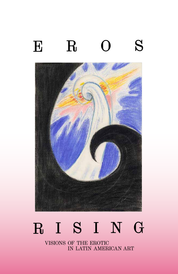



# R I S I N G

visions of the erotic in latin american art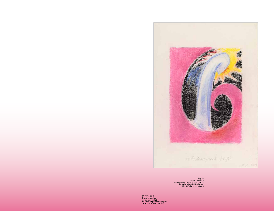

*↑Fig. 2:<br>David Lamelas<br>On the Moon, Crash of Light, 2015<br>Pastel and pencil on paper<br>20 × 14<sup>1/8</sup> in. (51 × 36 cm)* 

*Cover: Fig. 1:*<br>David Lamelas<br>*At Sunrise*, 2015<br>Pastel and pencil on paper<br>20 × 14½ in. (51 × 36 cm)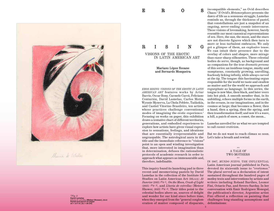

*↑Fig. 3:* David Lamelas *Lluvia de estrellas* (Meteor Shower), 2015 Pastel and pencil on paper 20 × 141/8 in. (51 × 36 cm)

### RISING

 visions of the erotic in latin american art

EROS

#### Mariano López Seoane and Bernardo Mosqueira

\*

*EROS RISING: VISIONS OF THE EROTIC IN LATIN AMERICAN ART* features works by Artur Barrio, Oscar Bony, Carmelo Carrá, Feliciano Centurión, David Lamelas, Carlos Motta, Wynnie Mynerva, La Chola Poblete, Tadáskía, and Castiel Vitorino Brasileiro, ten artists whose practices challenge conventional modes of imagining the erotic experience.<sup>1</sup> Focusing on works on paper, this exhibition draws a tentative chart of different territories, generations, and embodied experiences to explore how artists have given visual expression to sensations, feelings, and ideations that are essentially irrepresentable and ungraspable. The astrological aura in the title and the immediate reference to "visions" point to an open and winding investigation that, more interested in imagination than in determination, defuses the rationalistic protocols of academic research in order to approach what appears as immeasurable and, therefore, indefinable.

This inquiry found its launching pad in three recent and mesmerizing pastels by David Lamelas in the collection of the Institute for Studies on Latin American Art (ISLAA): *At Sunrise* (2015) *(Fig. 1)*, *On the Moon, Crash of Light*  (2015) *(Fig. 2)*, and *Lluvia de estrellas* (Meteor Shower, 2015) *(Fig. 3)*. Their titles point to the celestial bodies above us, sources of delight and wonder for our kind since before time, when they emerged from the "general conglomeration of matter composed of disparate,

incompatible elements," as Ovid describes Chaos.2 If Ovid's *Metamorphoses* presents the dawn of life as a sensuous struggle, Lamelas reminds us, through the thickness of pastel, that constellations are just a snapshot of an ongoing, never-ending cosmic intercourse. These visions of lovemaking, however, barely resemble our most canonical representations of sex. Here, the sun, the moon, and the stars are not discrete figures which then turn to more or less turbulent embraces. We only get a glimpse of them, an explosive tease. We can intuit their presence due to the overlay of colors and shapes, more mirage than razor-sharp silhouettes. These celestial bodies do serve, though, as background and as companions for the true *dramatis persona* of this series: an insidious tongue, mushy and sumptuous, constantly growing, unrolling, fearlessly licking infinity, while always curved at the tip. The tongue: this fascinating organ responsible for the world we taste and swallow as matter and for the world we approach and regurgitate as language. In this series, the tongue is now blue, then black, and later veers into hot pink. A smooth member that, in its unfolding, echoes multiple forms in the earth, in the oceans, in our imaginations, and in the cosmos at large; that becomes a flower, then a hand, then a spring, then the spring, and then transformation itself; and now it's a wave, a hill, a patch of snow, a comet, the moon...

Lamelas unveiled for us what we are tempted to call *cosmic eroticism*.

But we do not want to reach climax so soon. Let's take a breath and rewind.

#### A TALE OF TWO MOTHERS \*\*

IN 1967, *MUNDO NUEVO*, THE INFLUENTIAL Latin American journal published in Paris, devoted its sixteenth issue to "*erotismos*." The plural served as a declaration of intent sustained throughout the hundred pages of motley texts and interventions by artists and writers including Roland Barthes, Leonor Fini, Octavio Paz, and Severo Sarduy. In her conversation with Emir Rodríguez Monegal, the publication's director, Argentine artist Fini offered a reflection on painting that challenges long-standing assumptions and delimitations: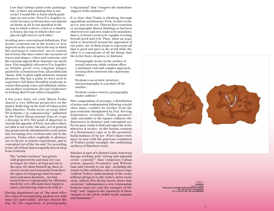I see that I always paint erotic paintings, but…is there any painting that is not erotic? I would like to know which paintings are not erotic. Even Fra Angelico is erotic because eroticism does not depend on theme at all. It can manifest in the way in which a sleeve, a foot or a shadow is drawn; the way in which colors are placed right next to each other.3

Avoiding more conventional definitions, Fini locates eroticism not in the scenes or acts depicted on the canvas, but in the way in which this portrayal is concocted—not in content, but in form. She thus centers the encounter of traces and shapes, colors and contrasts, and the sensuous appeal these elements can surely have. Fini naughtily references Fra Angelico as definite proof: even religious images painted by a Dominican friar, all prudish and chaste, hide in plain sight unknown sensual pleasures. She has a point: we don't need to experience full-blown Stendhal syndrome to realize that gaudy tones and inflamed volutes can produce excitement, the type of pleasure in looking that Freud called *scopophilia*.

A few years later, art critic Marta Traba shared a very different perspective on the matter. Reflecting on the work of Cuban artist Zilia Sánchez, Traba wrote an essay titled "El erotismo y la comunicación," published in the Puerto Rican journal *Zona de carga y descarga* in 1972. Her point of departure is exactly the opposite of Fini's: not only is there art that is not erotic, but also, art in general has progressively abandoned its erotic potential, becoming over-cerebral and cold in the process. Traba refers explicitly to abstract art, to Op art, to kinetic experiments, and to conceptual art of the '60s and '70s; according to her, all of them had arrogantly moved away from eroticism.

The "artistic territory" has grown cold progressively and man [*sic*] can no longer live there, at least not out in the open. He shuts himself up, then, in caves/coteries and transmits from there the signs of a language that becomes more and more hermetic… Art has turned into a cryptography for officiants, which the very officiants have begun to reject, not knowing what to do with it.4

Having abandoned one of "the most effective ways of reconnecting modern art with man [*sic*] and reality," art has cleared the way for the expansion of pornography, "a big animal" that "conquers the immediate support of the audience."<sup>5</sup>

It is clear that Traba is thinking through oppositions and binaries. First, we have erotic art vs. non-erotic art. Then we have eroticism vs. pornography. Binary thinking, as has been observed over and over, tends to be moralistic; that is, it doesn't seem to be capable of seeing beyond good and evil. Thus, when an argument is structured around the opposition of two poles, one of them tends to represent all that is good and pure in the world while the other is a concentrate of all the things that the writer fears, despises, or disdains:

Pornography works on the surface of sexual interests, while erotism offers a mediated, rich and complex approach, turning these interests into expression values….

Erotism is an artistic structure, and pornography is a product of the market….

Erotism creates viewers; pornography makes addicts.6

This compendium of precepts, a distribution of praise and condemnation following crystalclear lines, couldn't be further from the pan-eroticism championed by Fini. Serving dominatrix rectitude, Traba paradoxically succumbs to the square coldness she denounces in abstract and conceptual art. For its part, ready to find and enjoy the erotic wherever it occurs—in the furious crimson of a Renaissance cape or in the geometric hallucinations of Op art—Fini's stance feels more in tune with the generous roundness of Traba's prime example: the undulating surfaces of Sánchez's work.

Sánchez is part of a distinct Latin American lineage working with "strong and splendid erotic contents"7 that comprises Cuban artists Agustín Fernández and Wifredo Lam and extends to our day—including the artists in this exhibition, who in various ways confirm Traba's enthronement of the erotic without giving in to the critic's strict exclusions. Indeed, *Eros Rising* clearly shows that eroticism "substantiates a new relationship between man [*sic*] and the energies of the body" and "supports the expansion of these energies to the whole visible world, animate and inanimate."8



*↑Fig. 4:* Tadáskía *Untitled*, 2021<br>Charcoal, oil pastel, and nail polish on paper Charcoal, oil pastel, and nail polish on paper 20 × 231/4 in. (51 × 59 cm) and 17¾ × 243/8 in. (45 × 62 cm) (diptych)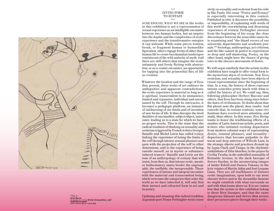|                        | William (III)<br>1111111111 |
|------------------------|-----------------------------|
| $(AA)$ Barrio $Z \neq$ |                             |

*↑Fig. 5:* Artur Barrio *Composição erótica* (Erotic Composition), 1967<br>Graphite on paper<br>12% × 8% in. (31.4 × 22.5 cm)

## \*\*\* GIVING FORM TO ECSTASY

SURE ENOUGH, WHAT WE SEE in the works in this exhibition is not a representation of sexual experience as an intelligible encounter between two human bodies, but an inquiry into the depths and the complexities of erotic experience and the transformative energies it can unleash. While some pieces tension, break, or fragment human or humanlike figuration, others engage forms of other-thanhuman life to create bacchanalian landscapes reminiscent of the wild audacity of myth. And there are still others that imagine the erotic intimately and freely flirting with abstraction, or as a cosmic encounter, an opportunity for tapping into the primordial flux of life as creation.

Whatever the location and the range of Eros they present, these works of art embrace its ambiguities and apparent contradictions: the erotic experience is material so long as it is spiritual, transcendent in its immanence, limited and expansive, individual and uncontained by the self. Through its intricacies, it becomes a pedagogic platform, an instance of (un)learning of our limits and of invention of new forms of life. It thus disrupts the tired dualities of one/another, subject/object, inner/ outer, leading us to a state for which we have no proper words. This is the state that the radical tradition of thinking on sexuality and eroticism triggered by French writers Georges Bataille and Michel Leiris has called *ecstasy*, linking the experience of losing the limits of the self through intense sensual pleasure and pain with the projection of the self to other dimensions, and to the experience of being outside oneself, as in mystic or substanceinduced trances.9 Bataille and Leiris set the tone of an anthropology of ecstasy that will insist, from then on, that intense erotic, mystic, or hallucinatory states border the ungraspable, the ineffable, the inexpressible. These experiences of intense and integral encounter with the material and transcendent being, which overcome the categories that order the world as we have inherited it, will only find their inexact and refracted form in art and in poetry.

Updating and situating this radical tradition, Argentine poet Néstor Perlongher wrote exten-

sively on sexuality and eroticism from his exile in São Paulo. His essay "Poetry and Ecstasy" is especially interesting in this context. Published in 1990, it discusses the possibility, or impossibility, of explaining with words of this world the overwhelming and disarming experience of ecstasy. Perlongher stresses from the beginning of his essay the clear discordance between the trancelike states he is examining and "the bland rococo of our university departments and academic journals."10 Sociology, anthropology, art criticism, and the like cannot do justice to experiences so deep and self-shattering. Poetry, on the other hand, might have the chance of giving voice to the obscure movements of desire.

We will argue similarly that the artists in this exhibition have sought to offer visual form to the mysterious abyss of eroticism. Now, Eros, eroticism, and sexuality have been objects of visual representation since the beginning of time. In a way, the history of these representations coincides pretty much with what is called the history of art. We could say, then, following philosopher Herbert Marcuse and others, that Eros has been rising since before the dawn of civilizations. No doubt about that. But please note the plural, dear reader. And concede that, in certain contexts, some civilizations have received more attention, and study, than others. In this sense, *Eros Rising* wants to honor the trailblazing efforts of a number of Latin American artists, poets, and writers who initiated exciting departures from modern colonial ways of representing desire, sensual pleasure, and sexuality departures that become palpable in the warm and deep universe of Wifredo Lam; in the strange objects and practices dreamt up by Lygia Clark and Tunga; in the rhythmic undulations of Zilia Sánchez; in the *quipus* by Cecilia Vicuña; in the unbridled sensuality of Reinaldo Arenas; in the dark baroque of Severo Sarduy; in the mesmerizing images of Jaider Esbell and Daiara Tukano; in the lyric volutes of Martín Adán and José Lezama Lima. They are all trailblazers of distinct erotic imaginations, open both to our most obscure drives and to the dreamlike liaisons we might establish with what surrounds us and with what looms above us. It is our contention that the artists in this exhibition belong to these fiery lineages, and that the same dangerous liaisons and drives that arouse their precursors pierce through their works.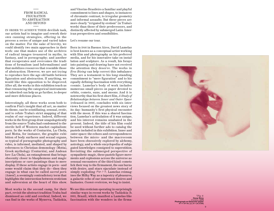#### \*\*\*\* FROM RADICAL FIGURATION TO ABSTRACTION AND BEYOND \*\*\*\*

IN ORDER TO ACHIEVE THEIR devilish task , our artists had to imagine and rework their own cunning strategies, offering in the process a series of unique and varied takes on the matter. For the sake of brevity, we could identify two main approaches in their work: one that makes use of the archives of radical images treasured in myths, in fantasy, and in pornography; and another that recuperates and overcomes the tradi tions of formalism (and Informalismo) and that mobilizes resources that resemble those of abstraction. However, we are not trying to reproduce here the age-old battle between figuration and abstraction. If anything, we would like this opposition to be disproved. After all, the works in this exhibition teach us that renouncing the categorical instruments we inherited can help us go further, to deeper and more delicious places.

Interestingly, all these works seem both to confirm Fini's insight that all art, no matter its theme, can be scintillating, sensual, erotic, and to refute Traba's strict mapping of that realm of our experience. Indeed, different works in the first group draw unapologetically from the source Traba had condemned to the sterile hell of Western market capitalism: porn. In the works of Centurión, La Chola, and Motta, for instance, the graphic exhi bition of body surfaces and sexual organs, so typical of pornographic photography and video, is informed, mediated, and shaped by references to Christian demonology (Motta), Greek mythology (Centurión), and Andean lore (La Chola), an entanglement that brings obscenity closer to blasphemous and magic inscriptions or cave paintings than to mere display. If these artists engage in porn—and some would claim that they do—then they engage in what can be called *sacred porn*  (Amen!), a seemingly contradictory term that highlights the intersection between eroticism and subversion at the heart of this show.

Most works in the second camp, for their part, revisit the abstract tradition Traba had dismissed as cold and cerebral. Indeed, we can find in the works of Mynerva, Tadáskía, and Vitorino Brasileiro a familiar and playful commitment to lines and shapes, to instances of chromatic contrast, to irregular geometry and informal assaults. But these pieces are more clearly "irrigated by erotism" (in Traba's words) than those of their predecessors, and distinctly affected by submerged Latin Amer ican perspectives and sensibilities.

#### Let's resume our tour.

Born in 1946 in Buenos Aires, David Lamelas is best known as a conceptual artist working with film and photography as his preferred media, and for his innovative take on instal lation and sculpture. As a result, his forays into painting and drawing have not received the attention they deserve. The works in *Eros Rising* can help correct this imbalance. They are a testament to his long-standing commitment to "mere figuration" and to his equally defining fascination with everything cosmic. Lamelas's body of work includes numerous small pieces on paper devoted to orbits, comets, suns, and moons. And it is noteworthy that his first short film, *A Study of Relationships between Inner and Outer Space* (released in 1969), concludes with six inter views focused on the greatest news story of its day: humanity's first physical encounter with the moon. If this was a shared fascina tion, Lamelas's articulation of it was unique, and his interest remains unabated in the present. Indeed, the title of his film could be used without further ado to catalog the pastels included in this exhibition. Inner and outer space: the echoes and correspondences between the micro- and the macrocosm have been obsessively explored by alchemy, astrology, and a whole encyclopedia of subju gated knowledges consigned to superstition. Revisiting the submerged perspective of sympathetic magic, these pastels figure move ments and explosions across the universe as sensual encounters of the third kind: comets lick their way to the firmament, the sun burns with desire, and stars ejaculate instead of simply exploding *(Figs. 1–3)*. Lamelas reimag ines the Milky Way as a tapestry of pleasures, a galactic echo of our innermost desires and fantasies. *Cosmic eroticism*, we beg to insist.

We see this eroticism operating in surprisingly similar ways in recent works by Tadáskía (b. 1993, Brazil), which manifest a Lamelas-like fascination with the wonders in the firma -



*↑Fig. 6:* Oscar Bony *Untitled*, 1976 Photograph on Ektacolor paper<br>41/4 × 55/8 in. (11.4 × 14.3 cm)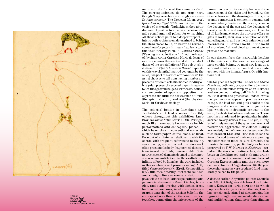

*↑Fig. 7:* Carmelo Carrá *Untitled*, 1968 Marker on paper 81/2 <sup>×</sup> 61/2 in. (21.6 × 16.5 cm)

ment and the force of the elements *(Fig. 4)*. The correspondences do not stop there, though. They reverberate through the titles— *La luna creciente* (The Crescent Moon, 2022), *Quick Journey Night* (2022)—and vibrate in the choice of materials: Tadáskía makes abun dant use of pastels, to which she occasionally adds pencil and nail polish, for extra shine. All these echoes point to a deeper rapport in intent: both artists seem determined to bring the stars closer to us, or, better, to reveal a sometimes-forgotten intimacy. Tadáskía took this task literally when, in *Vestindo Estrelas*  (Wearing Stars, 2019), she fulfilled the dream of favelada writer Carolina Maria de Jesus of wearing a gown that captured the deep dark dance of the constellations.11 The polyptych *a date there (I–VI)* (2022), in *Eros Rising*, expands on this wavelength. Inspired yet again by the skies, it is part of a series of "movements" the artist chooses to tell apart using numbers. It presents different celestial bodies landing on irregular pieces of recycled paper in earthy tones that go from beige to terracotta; a mate rial encounter of apparent opposites that expresses the ultimate coexistence of Orum (the spiritual world) and Aiê (the physical world) in Yoruba cosmology.

The celestial bodies in Lamelas's and Tadáskía's work find a series of earthly echoes throughout this exhibition. Luso-Brazilian artist Artur Barrio (b. 1945, Portugal), much like Lamelas, is known more for his performances and conceptual pieces, in which he employs unconventional materials such as toilet paper, coffee, blood, or meat. Born out of an intense relationship with the ocean, with frequent references to diving, sea crossing, and shipwreck, Barrio's work often presents the body fragmented, decayed, transformed into fluids, immeasurable. If this appreciation of elements doomed to decompo sition seems antithetical to the exaltation of infinity offered by Lamelas, the work included in this exhibition will prove us wrong. Aptly titled *Composição erótica* (Erotic Composition, 1967), this rare drawing intersects rounded and straight lines to create a vision that pays tribute to both landscape painting and geometric abstraction *(Fig. 5)*. Circles, trian gles, and ovals overlap with fishes, trees, half-moons, and suns, in what constitutes a graphic snapshot of the ancient belief in the correspondences that tied the whole universe together, connecting the microcosm of the

human body with its earthly home and the macrocosm of the skies and beyond. As the title declares and the drawing confirms, this cosmic connection is eminently sensual and sexual: a body floating on the ocean, between the deepness of the sea and the deepness of the sky, involves, and summons, the elements of all kinds and classes the universe offers as gifts. It works, then, as a redemption of sorts, canceling moral and aesthetic valuations and hierarchies. In Barrio's world, in the world of eroticism, fish and blood and meat are as precious as stardust.

In our descent from the inscrutable heights of the universe to the lower meanderings of more earthly beings, we must now focus on a series of artists who have worked in intimate contact with the human figure. Or with frac tions of it.

The tongues in the prints *Untitled* and *El beso*  (The Kiss, both 1976), by Oscar Bony (1941–2002, Argentina), insinuate foreplay, or an insistent and suspended mating call *(Fig. 6)*. A mating call that demands precaution. Indeed, while the open mouths appear to promise a sweet escape, the loud red and pink shades of the tongues, and the even louder rouge on the lips, which are in dramatic contrast to the teeth, forebode turbulence and danger. These mouths are adorned to spectacular heights, as when we say *dressed to kill*. And yes, killing is definitely not out of the question here. And neither are aggression or violence. Bony's acknowledgment of the close ties and complic ities between Eros and Thanatos takes the form of a nod to one of their more appealing embodiments in mass culture: Dracula, the irresistible vampire, particularly as he was portrayed by F. W. Murnau in *Nosferatu* (1922). Indeed, the stark contrasting colors, the clash between shocking red and pink and grainy white, evoke the ominous atmosphere of German Expressionism and the even more ominous climate of Argentina in 1976, the year these photographs were produced (and imme diately seized by the police).<sup>12</sup>

A decade earlier, Argentine painter Carmelo Carrá (b. 1945, Italy) was able to explore lighter tones. Known for lurid portraits in which Pop reaches its lysergic apotheosis, Carrá has consistently aimed at decomposing his figures through misplacements, distortions, and multiplications that, more than effacing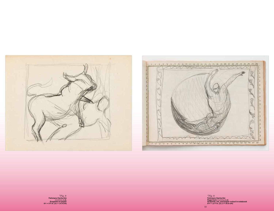





*↑Fig. 8:*<br>Feliciano Centurión<br>*Untitled*, n.d.<br>Graphite on paper<br>8¼ × 5% in. (21 × 14.9 cm)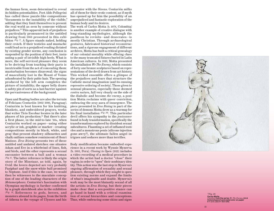the human form, seem determined to reveal its hidden potentialities. Poet Aldo Pellegrini has called these puzzle-like compositions "documents to the instability of the visible," adding that they limit themselves to present the real world as seen by someone without prejudices.13 This apparent lack of prejudices is particularly pronounced in the untitled drawing from 1968 presented in this exhi bition *(Fig. 7)*. A figure stands naked, holding their crotch. If their testicles and mustache could lead us to a prejudiced reading dictated by existing gender norms, any conclusion is suspended by the position of their feet, insin uating a pair of invisible high heels. What is more, the self-serviced pleasure they seem to be deriving from touching their parts is inextricable from the act of concealing them: masturbation becomes disavowal; the signs of masculinity lost in the Mount of Venus adumbrated by their pubic hair. The opening produced by the left arm completes the picture of instability; the upper belly draws a safety pin of sorts as a last barrier against the pervasiveness of the background.

Open and floating bodies are also the terrain of Feliciano Centurión (1962–1996, Paraguay). Centurión is best known for his knitting, blankets, and embroidered prayers, works that writer Ticio Escobar locates in the later phases of his production.14 But there's also a first phase, in the mid-to-late '80s, when Centurión worked on paper—using either acrylic or ink, graphite or marker—creating compositions mostly in black, white, and gray that present shadowy silhouettes and chalk outlines somehow reminiscent of Henri Matisse. *Eros Rising* presents two of these untitled and undated sketches: one situates Adam and Eve in a whirlwind of lines, fish, and birds, and the other represents a sexual encounter between a bull and a woman *(Fig. 8)*. The latter reference is likely the origin story of the Minotaur, as told, again, by Ovid: the lovers depicted are very probably Pasiphaë and the snow-white bull promised to Neptune. And if this is the case, we would then be witnesses to the maculate concep tion of one of the leading characters of the *Metamorphoses*. Centurión's fascination with Olympian mythology is further confirmed by a graph sketchbook also in the exhibition *(Fig. 9)*. References to gods, heroes, and monsters abound in its pages, from the birth of Athena to the voyage of Ulysses and his

encounter with the Sirens. Centurión milks all of them for their erotic content, as if myth has opened up for him the possibility of an unprejudiced and fantastic exploration of the human body and its desires.

The work of Carlos Motta (b. 1978, Colombia) is another example of creative dialogue with long-standing mythologies, although the pantheon he revisits—and desecrates—is mostly Christian. Through archaeological gestures, fabricated historical reconstruc tions, and a rigorous engagement of different archives, Motta has built a critical genealogy of our colonial morality while offering clues to the many truncated futures buried in Latin American cultures. In 2019, Motta presented the installation *We The Enemy*, which consists of forty-one bronze sculptures based on repre sentations of the devil drawn from art history. This wicked ensemble offers a glimpse of the prejudices and fears that structure the Catholic moral imagination (and its ensuing repressive ordering of society). Those given to sensual pleasures, especially those deemed *contra natura*, fall very clearly on the side of the diabolic and become *the enemy*, a posi tion Motta reclaims with queer conviction, embracing the sexy aura of insurgence. The piece presented in *Eros Rising* is part of the series of demons Motta drew as a warmup for his final installation *(Fig. 10)*. This particular devil offers his sympathy to the *jouissance*  found in body transformation, specifically the transformations explored by dissident sexual subcultures. Flaunting a set of inflamed testi cles and a monstrous penis (silicone injection gone awry?), the ultimate fallen angel intrigues and seduces more than terrifies.

Body modification became embodied expe rience in a recent work by Wynnie Mynerva (b. 1993, Peru). *Closing to Open* (2021) includes a video recording of a medical procedure in which the artist had a doctor "close" their vagina in order to "open" their nonbinary iden tity. This action was the last step in Mynerva's ongoing affirmation of sexuality and sexual pleasure, through which they sought to ques tion existing norms and expand the limits of what's imaginable and doable. Mynerva's work may be the most blatantly sexual of all the artists in *Eros Rising*, but their pieces make clear that a sex-positive stance can go hand in hand with a critical examina tion of sexual hierarchies and conceptions. Thus, while embracing some skins and signs



*↑Fig. 10:* Carlos Motta *Untitled*, from the series *We The Enemy*, 2019 Colored pencil and watercolor on paper 9 × 12 in. (22.9 × 30.5 cm)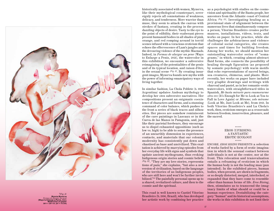

*↑Fig. 11:* Wynnie Mynerva *Formas de alargar un pene* (Ways to Enlarge a Penis), 2021 Watercolor on paper<br>381/4 × 291/2 in. (97 × 75 cm)

historically associated with women, Mynerva, like their mythological counterpart, sover eignly rejects all connotations of weakness, delicacy, and tenderness. More warrior than muse, they seem to attack the canvas with strokes of fantasy, creating in the process dazzling objects of desire. Tasty to the eye to the point of edibility, their exuberant pieces present humanoid bodies in all shades of pink, orange, and red romping around in torrid scenes infused with a voracious eroticism that echoes the effervescence of Lam's jungles and the devouring violence of the mythic Maenads. Indeed, in *Formas de alargar un pene* (Ways to Enlarge a Penis, 2021), the watercolor in this exhibition, we encounter a subversive reimagining of the potentialities of the penis and of its typical location, and raison d'être, in the sexual scene *(Fig. 11)*. By creating insur gent images, Mynerva founds new myths with the power of informing emancipatory ways of living together.

In similar fashion, La Chola Poblete (b. 1989, Argentina) updates Andean mythology to develop her own subversive narratives. Her compositions present an enigmatic coexis tence of characters and forms, and a stunning command of color balance, which pushes to the front a series of black traces and silhou ettes. Her pieces are somehow reminiscent of the cave paintings in Lascaux or in the Cueva de las Manos in Patagonia, and, just like their parietal forebears, they encourage us to dispel exhausted oppositions (such as low vs. high) to be able to sense the presence of an unearthly dimension in experiences, contacts, and materials that our colonial modernity has consistently put down and chastised as base and uncivilized. This exal tation is achieved by marrying episodes from her everyday life with signs and symbols that update ancient mythograms, thus evoking Indigenous origin stories and cosmic beliefs *(Fig. 12)*. "They are my love stories, representa tions of pain," she explains, "but also a new version of civilization, based on the language of the territories of us Indigenous peoples, who are still here and won't be further invisibilized."15 The painfully personal opens up to a shared, revitalized culture, and then to the cosmic and the spiritual.

This road is well known to Castiel Vitorino Brasileiro (b. 1996, Brazil), who has developed her artistic work by combining her practice

as a psychologist with studies on the cosmovision and spirituality of the Bantu people, her ancestors from the Atlantic coast of Central Africa *(Fig. 13)*. Investigating healing as a provisional state of alignment between the numerous lives that simultaneously compose a person, Vitorino Brasileiro creates perfor mances, installations, videos, texts, and works on paper. In her practice, while she challenges the arbitrariness and violence of colonial social categories, she creates spaces and times for building freedom. Among her works, we should mention her outstanding watercolor series of "soma grams," in which, creating almost-abstract fluid forms, she connects the possibility of healing through figuration (as proposed by somatic psychology) with warm motifs that echo representations of sacred beings, sea creatures, chimeras, and plants. More recently, her works on paper have included very graphic drawings and writings with charcoal and pastel, as in her romantic-erotic watercolors, with straightforward titles in Spanish, *Me basta mirarte para enamorarme otra vez* (It's Enough for Me to Look at You to Fall in Love Again) or *Mírame, solo mírame*  (Look at Me, Just Look at Me), from 2021. In both Vitorino Brasileiro's and La Chola's work, then, eroticism emerges as a crossroads between freedom, insurrection, pleasure, and the sacred.

#### \*\*\*\*\* EROS (UP)RISING: A FANTASTIC EROTIC ECOLOGY \*\*\*\*\*

ENCORE. *EROS RISING* PRESENTS a selection of works fueled by a form of erotic imagina tion in which the sensual contact between individuals is not at the center, nor at the front. This relocation and transvaluation entails a reframing of eroticism in which the human body is not the leading man (pun intended). In the exhibited pieces, human bodies, when present, are shown in fragments, or so deeply distorted, merged, interlocked, or expanded that they have come to resemble other-than-human forms of life. *Eros Rising*, then, stimulates us to transcend the imag inary limits of what should or could be a human experience. Destabilizing the cate gory "human" and its historical assumptions, the works in this exhibition do not limit their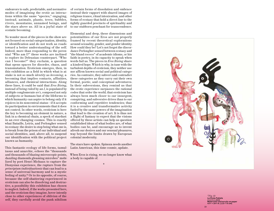endeavors to safe, predictable, and normative modes of imagining the erotic as interac tions within the same "species," engaging, instead, animals, plants, trees, bubbles, rivers, mountains, unnamed beings, and the stars above us. All in a joyful state of ecstatic becoming.

No wonder most of the pieces in the show are not focused on social categorization, identity, or identification and do not work as roads toward a better understanding of the self. Indeed, more than responding to the peren nial "Who am I?" these works are inclined to explore its Deleuzian counterpart. "Who can I become?" they exclaim, a question that opens spaces for disorder, chaos, and transmutation. Eroticism emerges, then, in this exhibition as a field in which what is at stake is not so much *identity* as *becoming*, a becoming that implies contacts, affinities, alliances, and chemical interactions. Along these lines, it could be said that *Eros Rising*, instead of being ruled by an *I*, is populated by multiple conglomerate *we's*, composed not only of subjects or humans but of the lifeforms to which humanity can aspire to belong only if it rejoices in its noncentral status—if it accepts its participation in environments that it does not control. In other words, eroticism is here the key to becoming an element in nature, a link in a chemical chain, a speck of stardust in an ever-changing cosmos. This is exactly what Bataille, Leiris, and Perlongher sensed in ecstasy: the desire to stop being what one is, to break from the prison of our individual and social identities, and, above all, to suspend our identification with the political project known as humanity.

This fantastic ecology of life forms, tumul tuous and anarchic, echoes the "thousands and thousands of blazing microscopic points, dazzling diamonds gleaming microbes" mobi lized by poet Henri Michaux to capture the Dionysian experience, the rupture from the *principium individuationis* that can lead to a sense of universal harmony and to a mystic feeling of unity.16 Or to its opposite, of course, because the self-shattering experienced in eroticism can also be dissolving and destruc tive, a possibility this exhibition has chosen to neglect. Indeed, if the works presented here, and the eroticism they imagine, hover intently close to other experiences of oblivion of the self, they carefully avoid the punk nihilism

of certain forms of dissolution and embrace instead their rapport with shared images of religious trance, ritual intoxication, and other forms of ecstasy that hold a direct line to the tightly guarded precincts of spirituality and to our stubborn penchant for transcendence.

Elemental and deep, these dimensions and potentialities of our Eros are not properly framed by recent theoretical explorations around sexuality, gender, and gender identity. How could they be? Let's not forget the discor dance Perlongher sensed between ecstasy and "the bland rococo" of academic idioms, or his faith in poetry, in its capacity to speak when words fail us. The pieces in *Eros Rising* share a kindred hope. Which is why, in tune with the turbulent depths of eroticism, they neither use nor affirm known social and political catego ries. Au contraire, they subvert and contradict these categories as they carry out their own formal, poetic, and conceptual adventures. In their subversions, they remind us that the erotic experience surpasses the rational codes that order the world; that eroticism has always been much closer to our insurgent, conspiring, and subversive drives than to our conforming and repetitive tendencies; that it is a creative and transformative activity fueled by the same powers of the imagination that lead to the creation of art. It is thus not a flight of fantasy to expect that the visions offered by these artists can help us question established ideas of what bodies are, of what bodies can be, and encourage us to invent afresh our desires and our sensual pleasures, way beyond the limits drawn by European colonial modernity.

The stars have spoken. Spinoza needs another Latin American, this time cosmic, update.

When Eros is rising, we no longer know what a body is capable of.

\*



*↑Fig. 12:* La Chola Poblete *Untitled*, 2022<br>Watercolor and acrylic on paper<br>43¼ × 29½ in. (110 × 75 cm)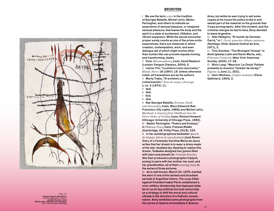

*↑Fig. 13:* Castiel Vitorino Brasileiro *Untitled*, from *Série Júpiter* (Jupiter Series), 2022 Watercolor and charcoal on paper 167/8 <sup>×</sup> 233/8 in. (43 × 59.4 cm)

#### ENDNOTES

1 We use the term *erotic* in the tradition of Georges Bataille, Michel Leiris, Néstor Perlongher, and others to indicate an experience of sensual pleasure, or imagined sensual pleasure, that leaves the body and the spirit in a state of excitement, titillation, and vibrant expansion. While the sexual encounter proper surely counts as one of the prime erotic experiences, there are instances in which creation, contemplation, work, and even dialogue (all of which might involve otherthan-human life) can provoke equally moving, and transforming, states.

2 Ovid, *Metamorphoses*, trans. David Raeburn (London: Penguin Classics, 2004), 5.

3 Leonor Fini, "La pintura como exorcismo," *Mundo Nuevo* 16 (1967): 18. Unless otherwise noted, all translations are by the authors.

4 Marta Traba, "El erotismo y la comunicación," *Zona de carga y descarga*

1, no. 2 (1972): 11.

- 5 Ibid.
- 6 Ibid.
- 7 Ibid.
- 8 Ibid.

9 See Georges Bataille, *Erotism: Death and Sensuality*, trans. Mary Dalwood (San Francisco: City Lights, 1986); and Michel Leiris, *Manhood: A Journey from Childhood into the Fierce Order of Virility*, trans. Richard Howard (Chicago: University of Chicago Press, 1992). 10 Néstor Perlongher, "Poetry and Ecstasy," in *Plebeian Prose*, trans. Frances Riddle (Cambridge, UK: Polity Press, 2019), 154. 11 In her autobiographical bestseller *Quarto de despejo: diário de uma favelada* (Junk Room: Diary of a Favelada) Carolina Maria de Jesus writes that her dream is to wear a dress made of the star-studded sky. Seeking to realize this dream, Tadáskía designed two gowns filled with stars and planets for *Vestindo Estrelas*. She then produced a photographic triptych, posing in pairs with her mother, her aunt, and her grandmother, all of them *wearing stars*, in the series of three pictures.

12 As is well known, March 24, 1976, marked the start of one of the darkest and bloodiest periods in Argentine history. The coup d'état against President Isabel Perón established a civic-military dictatorship that deployed state terror as its key political tool and censorship as a strategy to shift the moral and cultural climate in the direction of a Catholic conservatism. Bony exhibited some photographs from this series at Galería Artemúltiple in Buenos

Aires, but while he was trying to sell some copies at his house the police broke in and seized part of the material on the grounds that it was pornographic. After this incident, and the criminal charges he had to face, Bony decided to leave Argentina.

13 Aldo Pellegrini, "El mundo de Carmelo Carrá," in *C. Carrá: gouaches-dibujos-pinturas* (Santiago, Chile: Galería Central de Arte, 1971), 2.

14 Ticio Escobar, "The Strongest Thread," in Aimé Iglesias Lukin and Karen Marta, eds., *Feliciano Centurión* (New York: Americas Society, 2020), 17–26.

15 Silvio Lang, "Mauricio 'La Chola' Poblete presenta su muestra 'Tenedor de hereje,'" *Página 12*, June 11, 2021.

16 Henri Michaux, *L'infini turbulent* (Paris: Gallimard, 1994), 2.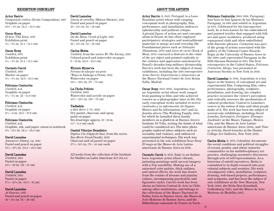#### EXHIBITION CHECKLIST

#### Artur Barrio

*Composição erótica* (Erotic Composition), 1967 Graphite on paper  $12\% \times 8\%$  in.  $(31.4 \times 22.5$  cm)

#### Oscar Bony

*El beso* (The Kiss), 1976 Exhibition print  $4\frac{1}{4} \times 5\%$  in. (11.4 × 14.3 cm)

#### Oscar Bony

*Untitled*, 1976 Exhibition print  $4\frac{1}{4} \times 5\%$  in. (11.4 × 14.3 cm)

#### Carmelo Carrá

*Untitled*, 1968 Marker on paper  $8\frac{1}{2} \times 6\frac{1}{2}$  in. (21.6  $\times$  16.5 cm)

#### Feliciano Centurión

*Untitled*, n.d. Graphite on paper  $8\frac{1}{4} \times 5\%$  in.  $(21 \times 14.9$  cm)

#### Feliciano Centurión

*Untitled*, n.d. Graphite on paper  $8\frac{1}{2} \times 11$  in.  $(21.6 \times 27.9$  cm)

#### Feliciano Centurión

*Untitled*, n.d. Graphite, ink, and paper cutout in notebook  $8\frac{3}{8} \times 12\frac{1}{8}$  in.  $(21.3 \times 30.8$  cm)

#### David Lamelas

*Amanecer* (Dawn), ca. 2014 Pastel and pencil on paper  $13\frac{1}{8} \times 19\frac{1}{2}$  in.  $(33.3 \times 49.5$  cm)

#### David Lamelas

*Untitled*, 2014 Pastel on paper  $14\frac{1}{8} \times 20$  in.  $(36 \times 51$  cm)

#### David Lamelas

*Untitled*, 2014 Pastel on paper  $17\frac{1}{4} \times 12\frac{3}{16}$  in.  $(43.8 \times 31$  cm)

#### David Lamelas

*At Sunrise*, 2015 Pastel and pencil on paper  $20 \times 14\frac{1}{8}$  in. (51 × 36 cm)

#### David Lamelas

*Lluvia de estrellas* (Meteor Shower), 2015 Pastel and pencil on paper  $20 \times 14\frac{1}{8}$  in. (51 × 36 cm)

#### David Lamelas

*On the Moon, Crash of Light,* 2015 Pastel and pencil on paper  $20 \times 14\frac{1}{8}$  in. (51 × 36 cm)

#### Carlos Motta

*Untitled*, from the series *We The Enemy*, 2019 Colored pencil and watercolor on paper  $9 \times 12$  in.  $(22.9 \times 30.5$  cm)

#### Wynnie Mynerva

*Formas de alargar un pene* (Ways to Enlarge a Penis), 2021 Watercolor on paper  $38\frac{1}{4} \times 29\frac{1}{2}$  in.  $(97 \times 75$  cm)

#### La Chola Poblete

*Untitled*, 2022 Watercolor and acrylic on paper  $43\frac{1}{4} \times 29\frac{1}{2}$  in. (110 × 75 cm)

#### Tadáskía

*a date there (I–VI)*, 2022 Dry pastel, charcoal, and spray paint on paper Six drawings: approx.  $12 \times 16$  in.  $(4.7 \times 6.3$  cm) each

#### Castiel Vitorino Brasileiro

*Díptico Um* (Diptych One), from the series *Boa Morte* (Good Death), 2022 Charcoal and oil pastel on paper  $27\frac{1}{2} \times 18\%$  in. (70  $\times$  48 cm) each

All works from the collection of the Institute for Studies on Latin American Art (ISLAA)

#### ABOUT THE ARTISTS

Artur Barrio (b. 1945, Portugal) is a Luso-Brazilian artist whose wide-ranging conceptual work in photography, film, performance, and installation embraces ephemerality and political critique. A pivotal figure of action art and conceptualism in Brazil, he has often employed participatory strategies and nontraditional materials to merge art and everyday life. Foundational pieces such as *Situações* (Situations, 1970) and *Livro de carne* (Book of Meat, 1978) conveyed a distrust in the value of the art object and pointed explicitly to the violence and oppression sanctioned by Brazil's decades-long military dictatorship. Barrio's work has been the subject of many exhibitions, including the 2018 retrospective *Artur Barrio: Experiencias y situaciones* at the Museo Nacional Centro de Arte Reina Sofía, Madrid.

Oscar Bony (1941–2002, Argentina) was an Argentine artist whose work ranged from painting to film, and who achieved renown as a photographer later in life. His early conceptual works included *60 metros cuadrados y su información* (60 Square Meters and Its Information, 1967) and *La familia obrera* (The Working Family, 1968), for which he installed three family members on a platform at Buenos Aires's Instituto Di Tella, testing the limits of what could be considered art. His later photographs explored taboo subjects such as sexuality and violence, and embraced experimental techniques. His work was presented in the solo exhibition *Oscar Bony: El mago* at the Museo de Arte Latinoamericano de Buenos Aires in 2008.

Carmelo Carrá (b. 1945, Italy) is an Italianborn Argentine artist whose vibrant, pulsating paintings meld surreal imagery with a Pop sensibility. Making use of a saturated color palette, thick outlines, and optical effects, his work has drawn from the realms of dreams and popular culture, encompassing psychedelic and figurative styles. Carrá's work has been shown at Galería Central de Arte in Chile, among other institutions, and belongs to the collections of the Museo Nacional de Bellas Artes in Buenos Aires, the Museo de Arte Moderno de Buenos Aires, and the Bibliothèque nationale de France in Paris.

Feliciano Centurión (1962–1996, Paraguay) was born in San Ignacio de las Misiones, Paraguay, in 1962 and settled in Argentina in 1974. Celebrated for his introspective work, he is best known for his embroidered and painted textiles that engaged with folk art and queer aesthetics, produced using repurposed cloth and often embellished with diaristic phrases. Centurión was part of the group of artists associated with the gallery of the Cultural Center Ricardo Rojas at the University of Buenos Aires in the 1990s and represented Paraguay in the fifth Havana Biennial in 1994. His first retrospective in the United States, *Feliciano Centurión: Abrigo*, was presented at Americas Society in New York in 2020.

David Lamelas (b. 1946, Argentina) is a key figure in the history of conceptual art and experimental film. Comprising film, video, performance, photography, sculpture, installation, and drawing, his complex practice excavates the viewer's perception and critically assesses the mechanisms of cultural production. Central to Lamelas's oeuvre is the notion of time and what people make of it. His work has been the subject of several solo exhibitions, including *David Lamelas, Extranjero, Foreigner, Étranger, Ausländer* at the Museo Tamayo, Mexico City, and the Museo de Arte Latinoamericano de Buenos Aires (2006), and *Time as Activity: David Lamelas* at the Hunter College Art Galleries, New York (2021).

Carlos Motta (b. 1978, Colombia) documents the social conditions and political struggles of sexual, gender, and ethnic minority communities in his multidisciplinary art practice, challenging normative discourses through acts of self-representation. As a historian of untold narratives, Motta is committed to in-depth research into postcolonial subjects and societies. His work encompasses video, installation, sculpture, drawing, web-based projects, performance, and symposia, and has been the subject of solo exhibitions at the New Museum, New York (2012); the Röda Sten Konsthall, Gothenburg (2015); and the Museo de Arte Moderno de Medellín (2017).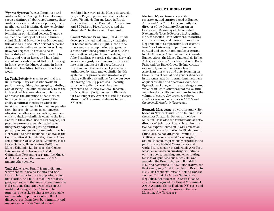Wynnie Mynerva (b. 1993, Peru) lives and works in Lima. Taking the form of sumptuous paintings of abstracted figures, their work centers around gender politics, queer aesthetics, and feminine desire, exploring the dichotomy between masculine and feminine in patriarchal society. Mynerva studied the history of art at the Universidad Nacional Mayor de San Marcos and fine arts at the Escuela Nacional Superior Autónoma de Bellas Artes del Perú. They have participated in residencies at Fountainhead in Miami, Uberbau in São Paulo, and AMIL in Lima, and have had recent solo exhibitions at Galería Ginsberg in Lima (2019), the Museo Amano in Lima (2020), and LatchKey Gallery in New York (2021).

La Chola Poblete (b. 1989, Argentina) is a multidisciplinary artist who works in performance, video, photography, painting, and drawing. She studied visual arts at the Universidad Nacional de Cuyo. Her work addresses the dilemmas of her mestiza heritage, focusing on the figure of the chola, a cultural identity in which the tensions inherent to the Indigenous population—labor exploitation, social marginalization, aesthetic exoticization, commercial circulation—similarly come to the fore. Based in the critical use of stereotypes, her practice presents a sophisticated queer imaginary capable of putting cultural paradigms and gender taxonomies in crisis. Her work has been included in shows at the Centro Cultural San Martín, Buenos Aires (2018); Museo Carlos Alonso, Mendoza (2019); Pasto Galería, Buenos Aires (2021); the Museo Udaondo, Luján (2021); the Centro Internacional de las Artes José de Guimarães, Portugal (2022); and the Museo de Arte Moderno, Buenos Aires (2022); among other venues.

Tadáskía (b. 1993, Brazil) is an artist and writer based in Rio de Janeiro and São Paulo. Her work in drawing, photography, installation, and textile mobilizes stories, geographies, and the material and immaterial relations that can arise between the world and living things. Through her practice, she seeks to elaborate the visible and invisible experiences of the Black diaspora, resulting from both familiar and unusual encounters. Tadáskía has

exhibited her work at the Museu de Arte do Rio, the Paço Imperial, and the Escola de Artes Visuais do Parque Lage in Rio de Janeiro; the Framer Framed in Amsterdam; and Sé Galeria, Pivô, Auroras, and the Museu de Arte Moderna in São Paulo.

Castiel Vitorino Brasileiro (b. 1996, Brazil) develops survival and healing strategies for bodies in constant flight, those of the Black and trans populations targeted by a state-sanctioned politics of death. Based on practices adopted from psychology and Afro-Brazilian syncretic religions, her work looks to resignify traumas and turn them into instruments of self-care, fostering freedom from the violence of procedures authorized by state and capitalist health systems. Her practice also involves organizing collective situations for the purpose of sharing healing practices. Recently, Vitorino Brasileiro's work has been presented at Galería Homero Hassena, Vitória, Brazil (2019); the Berlin Biennale for Contemporary Art (2020); and the Hessel Museum of Art, Annandale-on-Hudson, NY (2021).

#### ABOUT THE CURATORS

Mariano López Seoane is a writer, researcher, and curator based in Buenos Aires and New York. He is currently the director of the Graduate Program on Gender and Sexuality at Universidad Nacional de Tres de Febrero in Argentina. He also teaches Latin American literature, cultural studies, and queer studies at the Department of Comparative Literature at New York University. López Seoane has curated and coordinated public programs for the Museo de Arte Latinoamericano de Buenos Aires, the Museo Nacional de Bellas Artes, the Buenos Aires International Book Fair, and Art Basel Cities. He has written extensively on contemporary Latin American literature and arts, focusing on the cultures of sexual and gender dissidents in the Americas, Latin American instances of queer studies and queer activism, and figurations of drug culture and drug-related violence in Latin American narrative, film, and visual arts. His publications include the volume of essays *Donde está el peligro. Estéticas de la disidencia sexual* (2022) and the novel *El regalo de Virgo* (2017).

Bernardo Mosqueira is a curator and writer based in New York and Rio de Janeiro. He is the ISLAA Curatorial Fellow at the New Museum. He is also the founder and artistic director of Solar dos Abacaxis, an institution for experimentation in art, education, and social transformation in Rio de Janeiro. Since 2011, he has directed Premio FOCO ArtRio, a national award for emerging artists. Mosqueira previously organized the performance festival Venus Terra and worked as a curator at Galeria de Arte Ibeu. Mosqueira has been curating exhibitions, editing books, teaching, and contributing texts to art publications since 2010, was awarded the Premio Lorenzo Bonaldi in 2017, and cofounded Fundo Colaborativo, the first emergency fund for artists in Brazil, in 2020. His recent exhibitions include *Miriam Inez da Silva* at the Museu Nacional da República, Brasília (2021); *Castiel Vitorino Brasileiro: Eclipse* at the Hessel Museum of Art in Annandale-on-Hudson, NY (2021); and *Daniel Lie: Unnamed Entities* at the New Museum, New York (2022).